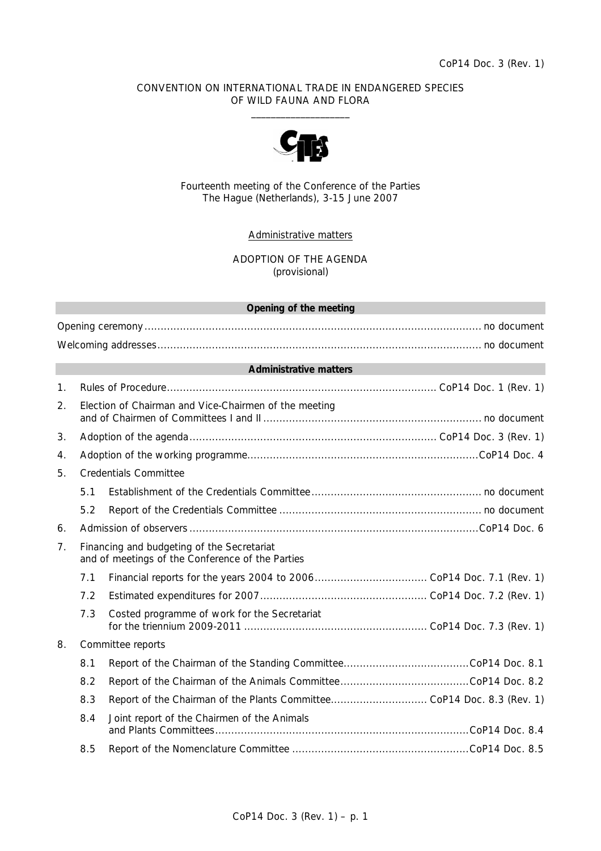## CONVENTION ON INTERNATIONAL TRADE IN ENDANGERED SPECIES OF WILD FAUNA AND FLORA  $\frac{1}{2}$  , and the set of the set of the set of the set of the set of the set of the set of the set of the set of the set of the set of the set of the set of the set of the set of the set of the set of the set of the set



Fourteenth meeting of the Conference of the Parties The Hague (Netherlands), 3-15 June 2007

## Administrative matters

ADOPTION OF THE AGENDA (provisional)

## **Opening of the meeting**

Opening ceremony......................................................................................................... no document Welcoming addresses..................................................................................................... no document

## **Administrative matters**

| $\mathbf{1}$ .                                                                                                   |                                                       |                                              |  |  |
|------------------------------------------------------------------------------------------------------------------|-------------------------------------------------------|----------------------------------------------|--|--|
| 2.                                                                                                               | Election of Chairman and Vice-Chairmen of the meeting |                                              |  |  |
| 3.                                                                                                               |                                                       |                                              |  |  |
| 4.                                                                                                               |                                                       |                                              |  |  |
| 5.                                                                                                               | <b>Credentials Committee</b>                          |                                              |  |  |
|                                                                                                                  | 5.1                                                   |                                              |  |  |
|                                                                                                                  | 5.2                                                   |                                              |  |  |
| 6.                                                                                                               |                                                       |                                              |  |  |
| 7 <sub>1</sub><br>Financing and budgeting of the Secretariat<br>and of meetings of the Conference of the Parties |                                                       |                                              |  |  |
|                                                                                                                  | 7.1                                                   |                                              |  |  |
|                                                                                                                  | 7.2                                                   |                                              |  |  |
|                                                                                                                  | 7.3                                                   | Costed programme of work for the Secretariat |  |  |
| 8.<br>Committee reports                                                                                          |                                                       |                                              |  |  |
|                                                                                                                  | 8.1                                                   |                                              |  |  |
|                                                                                                                  | 8.2                                                   |                                              |  |  |
|                                                                                                                  | 8.3                                                   |                                              |  |  |
|                                                                                                                  | 8.4                                                   | Joint report of the Chairmen of the Animals  |  |  |
|                                                                                                                  | 8.5                                                   |                                              |  |  |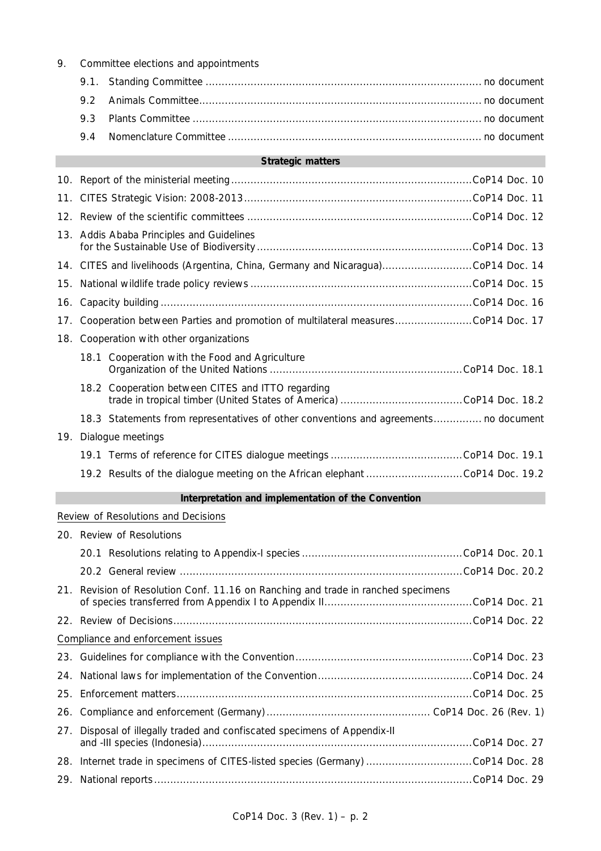| 9.  |                                                                                  |                                                                                      |  |  |
|-----|----------------------------------------------------------------------------------|--------------------------------------------------------------------------------------|--|--|
|     | 9.1.                                                                             |                                                                                      |  |  |
|     | 9.2                                                                              |                                                                                      |  |  |
|     | 9.3                                                                              |                                                                                      |  |  |
|     | 9.4                                                                              |                                                                                      |  |  |
|     |                                                                                  | <b>Strategic matters</b>                                                             |  |  |
|     |                                                                                  |                                                                                      |  |  |
| 11. |                                                                                  |                                                                                      |  |  |
|     |                                                                                  |                                                                                      |  |  |
| 13. | Addis Ababa Principles and Guidelines                                            |                                                                                      |  |  |
|     | 14. CITES and livelihoods (Argentina, China, Germany and Nicaragua)CoP14 Doc. 14 |                                                                                      |  |  |
| 15. |                                                                                  |                                                                                      |  |  |
| 16. |                                                                                  |                                                                                      |  |  |
| 17. | Cooperation between Parties and promotion of multilateral measuresCoP14 Doc. 17  |                                                                                      |  |  |
| 18. |                                                                                  | Cooperation with other organizations                                                 |  |  |
|     |                                                                                  | 18.1 Cooperation with the Food and Agriculture                                       |  |  |
|     |                                                                                  | 18.2 Cooperation between CITES and ITTO regarding                                    |  |  |
|     |                                                                                  | 18.3 Statements from representatives of other conventions and agreements no document |  |  |
| 19. |                                                                                  | Dialogue meetings                                                                    |  |  |
|     |                                                                                  |                                                                                      |  |  |
|     |                                                                                  | 19.2 Results of the dialogue meeting on the African elephant CoP14 Doc. 19.2         |  |  |
|     |                                                                                  | Interpretation and implementation of the Convention                                  |  |  |
|     |                                                                                  | Review of Resolutions and Decisions                                                  |  |  |
|     |                                                                                  | 20. Review of Resolutions                                                            |  |  |
|     |                                                                                  |                                                                                      |  |  |
|     |                                                                                  |                                                                                      |  |  |
| 21. |                                                                                  | Revision of Resolution Conf. 11.16 on Ranching and trade in ranched specimens        |  |  |
|     |                                                                                  |                                                                                      |  |  |
|     |                                                                                  | Compliance and enforcement issues                                                    |  |  |
|     |                                                                                  |                                                                                      |  |  |
| 24. |                                                                                  |                                                                                      |  |  |
| 25. |                                                                                  |                                                                                      |  |  |
| 26. |                                                                                  |                                                                                      |  |  |
| 27. |                                                                                  | Disposal of illegally traded and confiscated specimens of Appendix-II                |  |  |
|     |                                                                                  | 28. Internet trade in specimens of CITES-listed species (Germany) CoP14 Doc. 28      |  |  |
| 29. |                                                                                  |                                                                                      |  |  |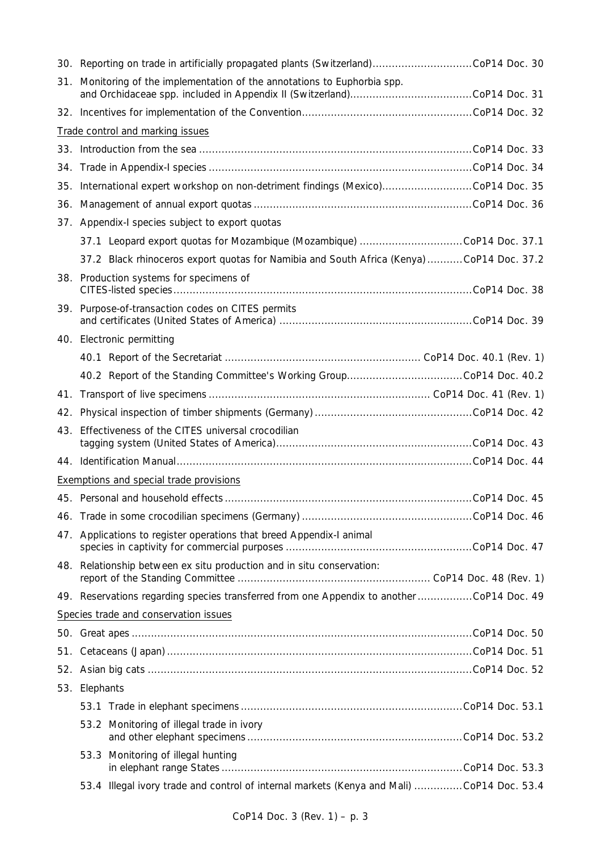|     | 30. Reporting on trade in artificially propagated plants (Switzerland)CoP14 Doc. 30       |  |  |
|-----|-------------------------------------------------------------------------------------------|--|--|
|     | 31. Monitoring of the implementation of the annotations to <i>Euphorbia</i> spp.          |  |  |
|     |                                                                                           |  |  |
|     | Trade control and marking issues                                                          |  |  |
|     |                                                                                           |  |  |
|     |                                                                                           |  |  |
|     | 35. International expert workshop on non-detriment findings (Mexico)CoP14 Doc. 35         |  |  |
|     |                                                                                           |  |  |
|     | 37. Appendix-I species subject to export quotas                                           |  |  |
|     |                                                                                           |  |  |
|     | 37.2 Black rhinoceros export quotas for Namibia and South Africa (Kenya) CoP14 Doc. 37.2  |  |  |
|     | 38. Production systems for specimens of                                                   |  |  |
| 39. | Purpose-of-transaction codes on CITES permits                                             |  |  |
|     | 40. Electronic permitting                                                                 |  |  |
|     |                                                                                           |  |  |
|     |                                                                                           |  |  |
| 41. |                                                                                           |  |  |
|     |                                                                                           |  |  |
| 43. | Effectiveness of the CITES universal crocodilian                                          |  |  |
|     |                                                                                           |  |  |
|     | Exemptions and special trade provisions                                                   |  |  |
|     |                                                                                           |  |  |
|     |                                                                                           |  |  |
|     | 47. Applications to register operations that breed Appendix-I animal                      |  |  |
|     | 48. Relationship between ex situ production and in situ conservation:                     |  |  |
|     | 49. Reservations regarding species transferred from one Appendix to another CoP14 Doc. 49 |  |  |
|     | Species trade and conservation issues                                                     |  |  |
|     |                                                                                           |  |  |
|     |                                                                                           |  |  |
|     |                                                                                           |  |  |
|     | 53. Elephants                                                                             |  |  |
|     |                                                                                           |  |  |
|     | 53.2 Monitoring of illegal trade in ivory                                                 |  |  |
|     | 53.3 Monitoring of illegal hunting                                                        |  |  |
|     | 53.4 Illegal ivory trade and control of internal markets (Kenya and Mali) CoP14 Doc. 53.4 |  |  |